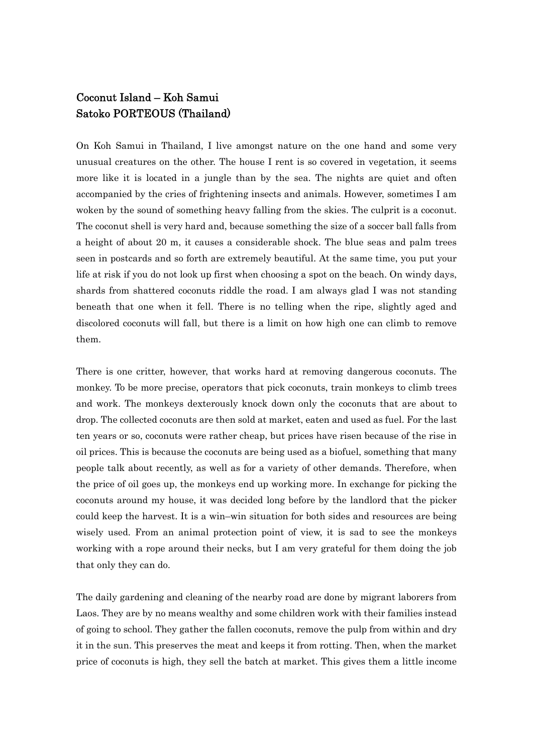## Coconut Island – Koh Samui Satoko PORTEOUS (Thailand)

On Koh Samui in Thailand, I live amongst nature on the one hand and some very unusual creatures on the other. The house I rent is so covered in vegetation, it seems more like it is located in a jungle than by the sea. The nights are quiet and often accompanied by the cries of frightening insects and animals. However, sometimes I am woken by the sound of something heavy falling from the skies. The culprit is a coconut. The coconut shell is very hard and, because something the size of a soccer ball falls from a height of about 20 m, it causes a considerable shock. The blue seas and palm trees seen in postcards and so forth are extremely beautiful. At the same time, you put your life at risk if you do not look up first when choosing a spot on the beach. On windy days, shards from shattered coconuts riddle the road. I am always glad I was not standing beneath that one when it fell. There is no telling when the ripe, slightly aged and discolored coconuts will fall, but there is a limit on how high one can climb to remove them.

There is one critter, however, that works hard at removing dangerous coconuts. The monkey. To be more precise, operators that pick coconuts, train monkeys to climb trees and work. The monkeys dexterously knock down only the coconuts that are about to drop. The collected coconuts are then sold at market, eaten and used as fuel. For the last ten years or so, coconuts were rather cheap, but prices have risen because of the rise in oil prices. This is because the coconuts are being used as a biofuel, something that many people talk about recently, as well as for a variety of other demands. Therefore, when the price of oil goes up, the monkeys end up working more. In exchange for picking the coconuts around my house, it was decided long before by the landlord that the picker could keep the harvest. It is a win–win situation for both sides and resources are being wisely used. From an animal protection point of view, it is sad to see the monkeys working with a rope around their necks, but I am very grateful for them doing the job that only they can do.

The daily gardening and cleaning of the nearby road are done by migrant laborers from Laos. They are by no means wealthy and some children work with their families instead of going to school. They gather the fallen coconuts, remove the pulp from within and dry it in the sun. This preserves the meat and keeps it from rotting. Then, when the market price of coconuts is high, they sell the batch at market. This gives them a little income